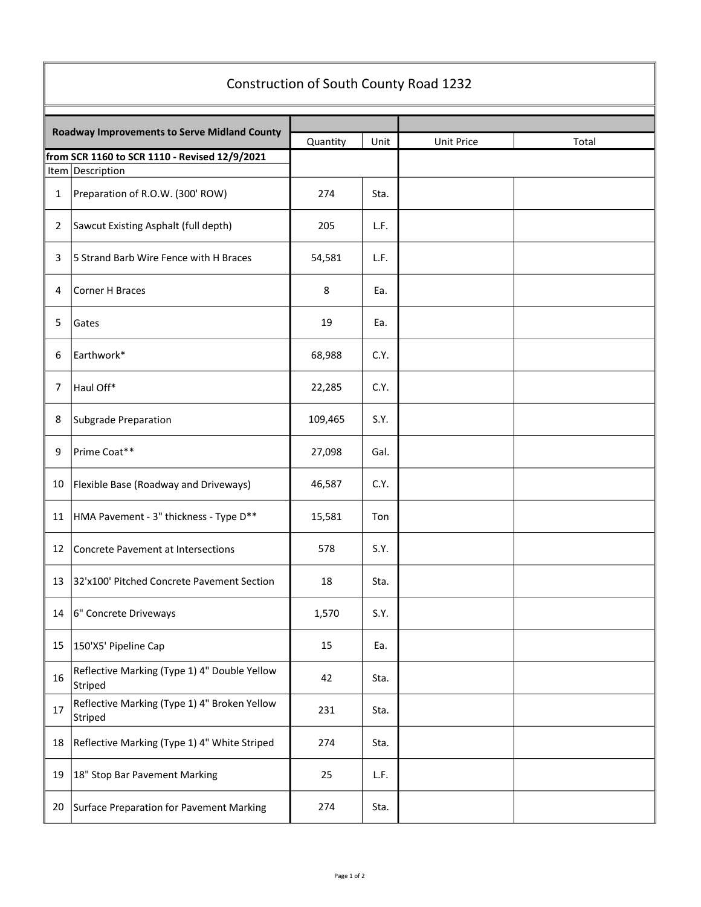| Construction of South County Road 1232                              |                                                         |          |      |                   |       |  |  |  |  |
|---------------------------------------------------------------------|---------------------------------------------------------|----------|------|-------------------|-------|--|--|--|--|
|                                                                     |                                                         |          |      |                   |       |  |  |  |  |
| <b>Roadway Improvements to Serve Midland County</b>                 |                                                         | Quantity | Unit | <b>Unit Price</b> | Total |  |  |  |  |
| from SCR 1160 to SCR 1110 - Revised 12/9/2021<br>Item   Description |                                                         |          |      |                   |       |  |  |  |  |
| 1                                                                   | Preparation of R.O.W. (300' ROW)                        | 274      | Sta. |                   |       |  |  |  |  |
| 2                                                                   | Sawcut Existing Asphalt (full depth)                    | 205      | L.F. |                   |       |  |  |  |  |
| 3                                                                   | 5 Strand Barb Wire Fence with H Braces                  | 54,581   | L.F. |                   |       |  |  |  |  |
| 4                                                                   | <b>Corner H Braces</b>                                  | 8        | Ea.  |                   |       |  |  |  |  |
| 5                                                                   | Gates                                                   | 19       | Ea.  |                   |       |  |  |  |  |
| 6                                                                   | Earthwork*                                              | 68,988   | C.Y. |                   |       |  |  |  |  |
| 7                                                                   | Haul Off*                                               | 22,285   | C.Y. |                   |       |  |  |  |  |
| 8                                                                   | <b>Subgrade Preparation</b>                             | 109,465  | S.Y. |                   |       |  |  |  |  |
| 9                                                                   | Prime Coat**                                            | 27,098   | Gal. |                   |       |  |  |  |  |
| 10                                                                  | Flexible Base (Roadway and Driveways)                   | 46,587   | C.Y. |                   |       |  |  |  |  |
| 11                                                                  | HMA Pavement - 3" thickness - Type D**                  | 15,581   | Ton  |                   |       |  |  |  |  |
| 12                                                                  | Concrete Pavement at Intersections                      | 578      | S.Y. |                   |       |  |  |  |  |
|                                                                     | 13 32'x100' Pitched Concrete Pavement Section           | 18       | Sta. |                   |       |  |  |  |  |
| 14                                                                  | 6" Concrete Driveways                                   | 1,570    | S.Y. |                   |       |  |  |  |  |
| 15                                                                  | 150'X5' Pipeline Cap                                    | 15       | Ea.  |                   |       |  |  |  |  |
| 16                                                                  | Reflective Marking (Type 1) 4" Double Yellow<br>Striped | 42       | Sta. |                   |       |  |  |  |  |
| 17                                                                  | Reflective Marking (Type 1) 4" Broken Yellow<br>Striped | 231      | Sta. |                   |       |  |  |  |  |
| 18                                                                  | Reflective Marking (Type 1) 4" White Striped            | 274      | Sta. |                   |       |  |  |  |  |
| 19                                                                  | 18" Stop Bar Pavement Marking                           | 25       | L.F. |                   |       |  |  |  |  |
| 20                                                                  | Surface Preparation for Pavement Marking                | 274      | Sta. |                   |       |  |  |  |  |

 $\overline{\mathbb{F}}$